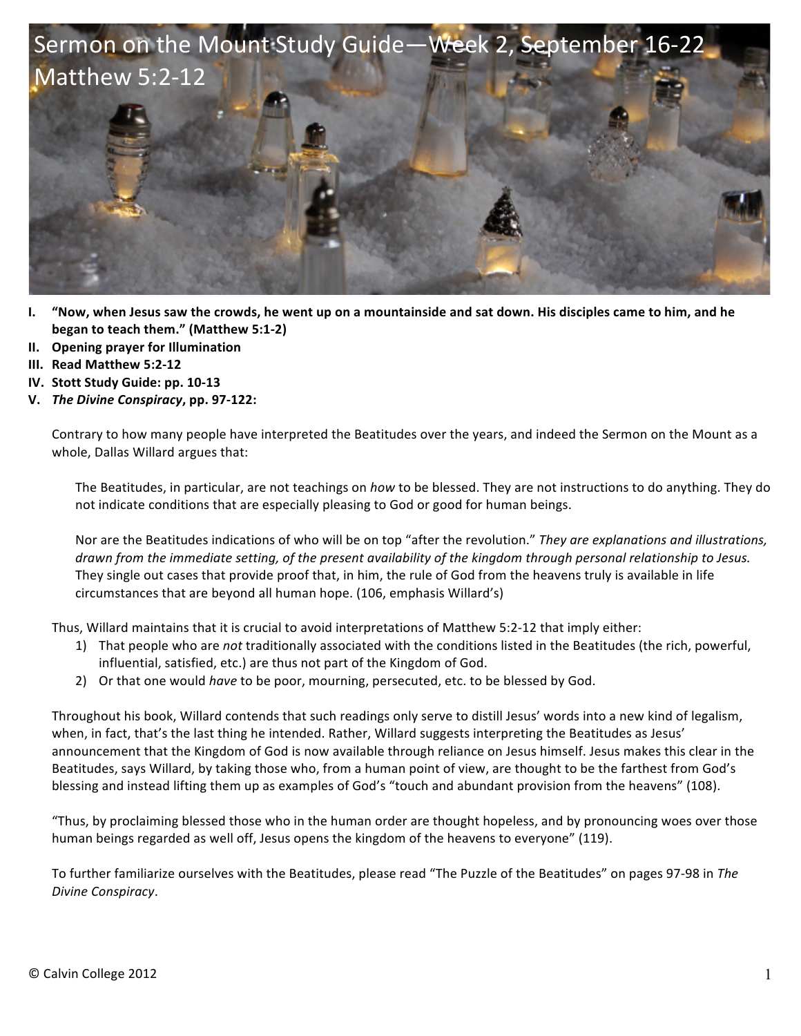

- **I. "Now, when Jesus saw the crowds, he went up on a mountainside and sat down. His disciples came to him, and he began to teach them."** (Matthew 5:1-2)
- **II. Opening prayer for Illumination**
- **III. Read Matthew 5:2-12**
- **IV.** Stott Study Guide: pp. 10-13
- **V.** *The Divine Conspiracy***, pp. 97-122:**

Contrary to how many people have interpreted the Beatitudes over the years, and indeed the Sermon on the Mount as a whole, Dallas Willard argues that:

The Beatitudes, in particular, are not teachings on *how* to be blessed. They are not instructions to do anything. They do not indicate conditions that are especially pleasing to God or good for human beings.

Nor are the Beatitudes indications of who will be on top "after the revolution." They are explanations and illustrations, *drawn* from the immediate setting, of the present availability of the kingdom through personal relationship to Jesus. They single out cases that provide proof that, in him, the rule of God from the heavens truly is available in life circumstances that are beyond all human hope. (106, emphasis Willard's)

Thus, Willard maintains that it is crucial to avoid interpretations of Matthew 5:2-12 that imply either:

- 1) That people who are *not* traditionally associated with the conditions listed in the Beatitudes (the rich, powerful, influential, satisfied, etc.) are thus not part of the Kingdom of God.
- 2) Or that one would *have* to be poor, mourning, persecuted, etc. to be blessed by God.

Throughout his book, Willard contends that such readings only serve to distill Jesus' words into a new kind of legalism, when, in fact, that's the last thing he intended. Rather, Willard suggests interpreting the Beatitudes as Jesus' announcement that the Kingdom of God is now available through reliance on Jesus himself. Jesus makes this clear in the Beatitudes, says Willard, by taking those who, from a human point of view, are thought to be the farthest from God's blessing and instead lifting them up as examples of God's "touch and abundant provision from the heavens" (108).

"Thus, by proclaiming blessed those who in the human order are thought hopeless, and by pronouncing woes over those human beings regarded as well off, Jesus opens the kingdom of the heavens to everyone" (119).

To further familiarize ourselves with the Beatitudes, please read "The Puzzle of the Beatitudes" on pages 97-98 in The *Divine Conspiracy*.